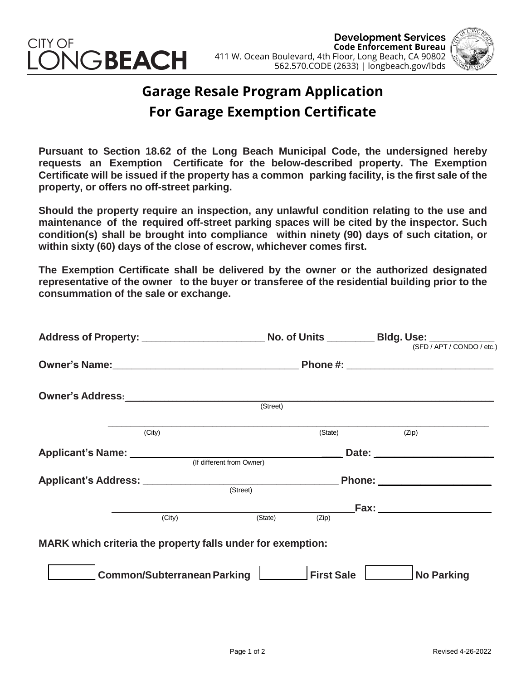

**Development Services Code Enforcement Bureau**  411 W. Ocean Boulevard, 4th Floor, Long Beach, CA 90802 562.570.CODE (2633) | longbeach.gov/lbds



## **Garage Resale Program Application For Garage Exemption Certificate**

**Pursuant to Section 18.62 of the Long Beach Municipal Code, the undersigned hereby requests an Exemption Certificate for the below-described property. The Exemption Certificate will be issued if the property has a common parking facility, is the first sale of the property, or offers no off-street parking.**

**Should the property require an inspection, any unlawful condition relating to the use and maintenance of the required off-street parking spaces will be cited by the inspector. Such condition(s) shall be brought into compliance within ninety (90) days of such citation, or within sixty (60) days of the close of escrow, whichever comes first.**

**The Exemption Certificate shall be delivered by the owner or the authorized designated representative of the owner to the buyer or transferee of the residential building prior to the consummation of the sale or exchange.**

| Address of Property: No. of Units ________ Bldg. Use: SED / APT / CONDO / etc.)                                                                                                                                                |                           |                                                                                                                                                                                                                                |  |  |
|--------------------------------------------------------------------------------------------------------------------------------------------------------------------------------------------------------------------------------|---------------------------|--------------------------------------------------------------------------------------------------------------------------------------------------------------------------------------------------------------------------------|--|--|
|                                                                                                                                                                                                                                |                           |                                                                                                                                                                                                                                |  |  |
|                                                                                                                                                                                                                                |                           |                                                                                                                                                                                                                                |  |  |
|                                                                                                                                                                                                                                | (Street)                  |                                                                                                                                                                                                                                |  |  |
| (City)                                                                                                                                                                                                                         | (State)                   | (Zip)                                                                                                                                                                                                                          |  |  |
| Applicant's Name: Name and Applicant and Applicant and Applicant and Applicant and Applicant and Applicant and Applicant and Applicant and Applicant and Applicant and Applicant and Applicant and Applicant and Applicant and | (If different from Owner) | Date: the contract of the contract of the contract of the contract of the contract of the contract of the contract of the contract of the contract of the contract of the contract of the contract of the contract of the cont |  |  |
| Applicant's Address: <u>Contract (Street</u> ) Contract Phone: 2014 Phone: 2014                                                                                                                                                |                           |                                                                                                                                                                                                                                |  |  |
|                                                                                                                                                                                                                                |                           | __ Fax: _______________________                                                                                                                                                                                                |  |  |
| (City)                                                                                                                                                                                                                         | (State)<br>(Zip)          |                                                                                                                                                                                                                                |  |  |
| MARK which criteria the property falls under for exemption:                                                                                                                                                                    |                           |                                                                                                                                                                                                                                |  |  |
| Common/Subterranean Parking                                                                                                                                                                                                    | First Sale                | No Parking                                                                                                                                                                                                                     |  |  |